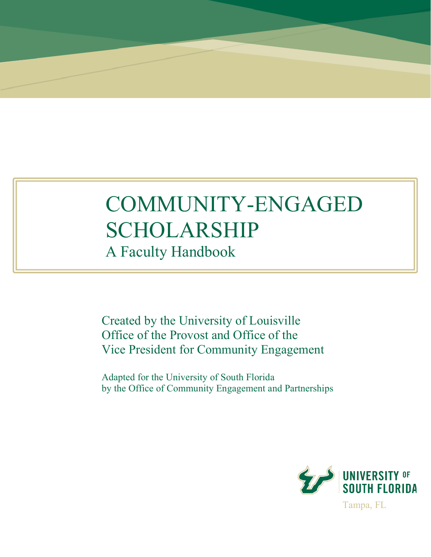# COMMUNITY-ENGAGED SCHOLARSHIP

A Faculty Handbook

Created by the University of Louisville Office of the Provost and Office of the Vice President for Community Engagement

Adapted for the University of South Florida by the Office of Community Engagement and Partnerships

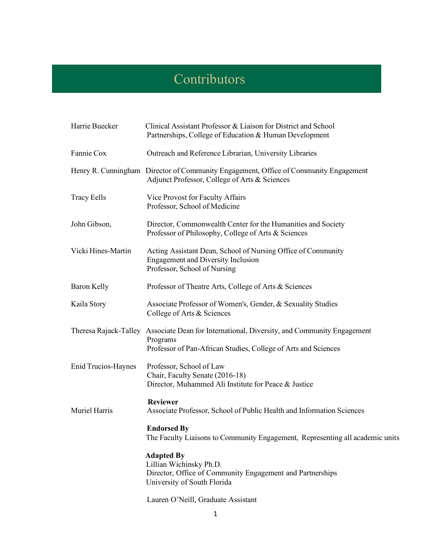## **Contributors**

| Harrie Buecker             | Clinical Assistant Professor & Liaison for District and School<br>Partnerships, College of Education & Human Development                                                  |  |  |  |
|----------------------------|---------------------------------------------------------------------------------------------------------------------------------------------------------------------------|--|--|--|
| Fannie Cox                 | Outreach and Reference Librarian, University Libraries                                                                                                                    |  |  |  |
|                            | Henry R. Cunningham Director of Community Engagement, Office of Community Engagement<br>Adjunct Professor, College of Arts & Sciences                                     |  |  |  |
| <b>Tracy Eells</b>         | Vice Provost for Faculty Affairs<br>Professor, School of Medicine                                                                                                         |  |  |  |
| John Gibson,               | Director, Commonwealth Center for the Humanities and Society<br>Professor of Philosophy, College of Arts & Sciences                                                       |  |  |  |
| Vicki Hines-Martin         | Acting Assistant Dean, School of Nursing Office of Community<br><b>Engagement and Diversity Inclusion</b><br>Professor, School of Nursing                                 |  |  |  |
| <b>Baron Kelly</b>         | Professor of Theatre Arts, College of Arts & Sciences                                                                                                                     |  |  |  |
| Kaila Story                | Associate Professor of Women's, Gender, & Sexuality Studies<br>College of Arts & Sciences                                                                                 |  |  |  |
|                            | Theresa Rajack-Talley Associate Dean for International, Diversity, and Community Engagement<br>Programs<br>Professor of Pan-African Studies, College of Arts and Sciences |  |  |  |
| <b>Enid Trucios-Haynes</b> | Professor, School of Law<br>Chair, Faculty Senate (2016-18)<br>Director, Muhammed Ali Institute for Peace & Justice                                                       |  |  |  |
| Muriel Harris              | <b>Reviewer</b><br>Associate Professor, School of Public Health and Information Sciences                                                                                  |  |  |  |
|                            | <b>Endorsed By</b><br>The Faculty Liaisons to Community Engagement, Representing all academic units                                                                       |  |  |  |
|                            | <b>Adapted By</b><br>Lillian Wichinsky Ph.D.<br>Director, Office of Community Engagement and Partnerships<br>University of South Florida                                  |  |  |  |
|                            | Lauren O'Neill, Graduate Assistant                                                                                                                                        |  |  |  |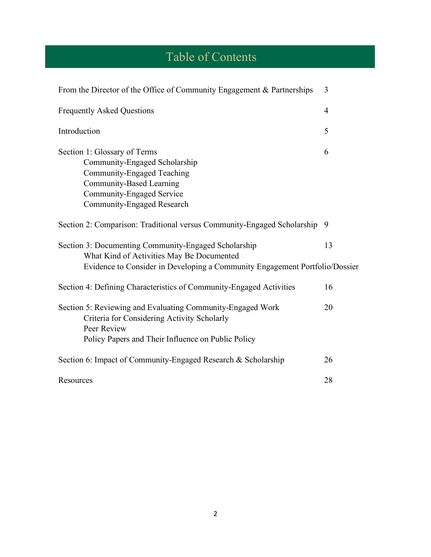# Table of Contents

| From the Director of the Office of Community Engagement & Partnerships                                                                                                                    | 3              |
|-------------------------------------------------------------------------------------------------------------------------------------------------------------------------------------------|----------------|
| <b>Frequently Asked Questions</b>                                                                                                                                                         | $\overline{4}$ |
| Introduction                                                                                                                                                                              | 5              |
| Section 1: Glossary of Terms<br>Community-Engaged Scholarship<br>Community-Engaged Teaching<br><b>Community-Based Learning</b><br>Community-Engaged Service<br>Community-Engaged Research | 6              |
| Section 2: Comparison: Traditional versus Community-Engaged Scholarship 9                                                                                                                 |                |
| Section 3: Documenting Community-Engaged Scholarship<br>What Kind of Activities May Be Documented<br>Evidence to Consider in Developing a Community Engagement Portfolio/Dossier          | 13             |
| Section 4: Defining Characteristics of Community-Engaged Activities                                                                                                                       | 16             |
| Section 5: Reviewing and Evaluating Community-Engaged Work<br>Criteria for Considering Activity Scholarly<br>Peer Review<br>Policy Papers and Their Influence on Public Policy            | 20             |
| Section 6: Impact of Community-Engaged Research & Scholarship                                                                                                                             | 26             |
| Resources                                                                                                                                                                                 | 28             |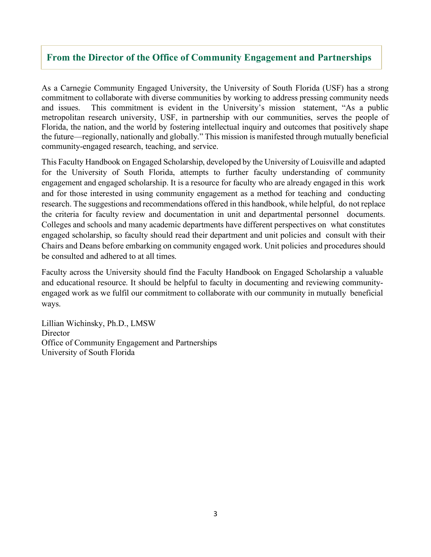## **From the Director of the Office of Community Engagement and Partnerships**

As a Carnegie Community Engaged University, the University of South Florida (USF) has a strong commitment to collaborate with diverse communities by working to address pressing community needs and issues. This commitment is evident in the University's mission statement, "As a public metropolitan research university, USF, in partnership with our communities, serves the people of Florida, the nation, and the world by fostering intellectual inquiry and outcomes that positively shape the future—regionally, nationally and globally." This mission is manifested through mutually beneficial community-engaged research, teaching, and service.

This Faculty Handbook on Engaged Scholarship, developed by the University of Louisville and adapted for the University of South Florida, attempts to further faculty understanding of community engagement and engaged scholarship. It is a resource for faculty who are already engaged in this work and for those interested in using community engagement as a method for teaching and conducting research. The suggestions and recommendations offered in this handbook, while helpful, do not replace the criteria for faculty review and documentation in unit and departmental personnel documents. Colleges and schools and many academic departments have different perspectives on what constitutes engaged scholarship, so faculty should read their department and unit policies and consult with their Chairs and Deans before embarking on community engaged work. Unit policies and procedures should be consulted and adhered to at all times.

Faculty across the University should find the Faculty Handbook on Engaged Scholarship a valuable and educational resource. It should be helpful to faculty in documenting and reviewing communityengaged work as we fulfil our commitment to collaborate with our community in mutually beneficial ways.

Lillian Wichinsky, Ph.D., LMSW **Director** Office of Community Engagement and Partnerships University of South Florida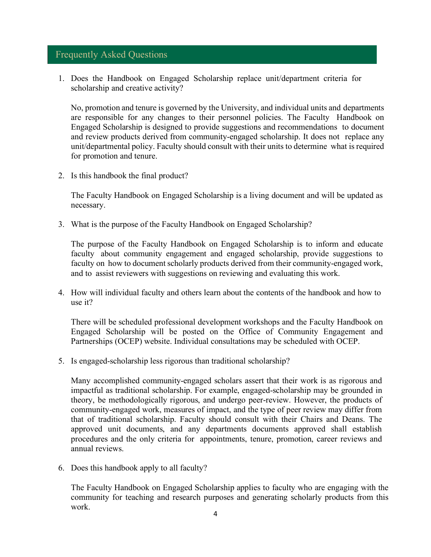## Frequently Asked Questions

1. Does the Handbook on Engaged Scholarship replace unit/department criteria for scholarship and creative activity?

No, promotion and tenure is governed by the University, and individual units and departments are responsible for any changes to their personnel policies. The Faculty Handbook on Engaged Scholarship is designed to provide suggestions and recommendations to document and review products derived from community-engaged scholarship. It does not replace any unit/departmental policy. Faculty should consult with their units to determine what is required for promotion and tenure.

2. Is this handbook the final product?

The Faculty Handbook on Engaged Scholarship is a living document and will be updated as necessary.

3. What is the purpose of the Faculty Handbook on Engaged Scholarship?

The purpose of the Faculty Handbook on Engaged Scholarship is to inform and educate faculty about community engagement and engaged scholarship, provide suggestions to faculty on how to document scholarly products derived from their community-engaged work, and to assist reviewers with suggestions on reviewing and evaluating this work.

4. How will individual faculty and others learn about the contents of the handbook and how to use it?

There will be scheduled professional development workshops and the Faculty Handbook on Engaged Scholarship will be posted on the Office of Community Engagement and Partnerships (OCEP) website. Individual consultations may be scheduled with OCEP.

5. Is engaged-scholarship less rigorous than traditional scholarship?

Many accomplished community-engaged scholars assert that their work is as rigorous and impactful as traditional scholarship. For example, engaged-scholarship may be grounded in theory, be methodologically rigorous, and undergo peer-review. However, the products of community-engaged work, measures of impact, and the type of peer review may differ from that of traditional scholarship. Faculty should consult with their Chairs and Deans. The approved unit documents, and any departments documents approved shall establish procedures and the only criteria for appointments, tenure, promotion, career reviews and annual reviews.

6. Does this handbook apply to all faculty?

The Faculty Handbook on Engaged Scholarship applies to faculty who are engaging with the community for teaching and research purposes and generating scholarly products from this work.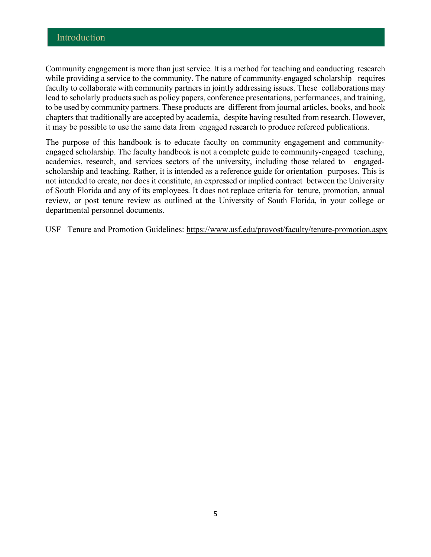Community engagement is more than just service. It is a method for teaching and conducting research while providing a service to the community. The nature of community-engaged scholarship requires faculty to collaborate with community partners in jointly addressing issues. These collaborations may lead to scholarly products such as policy papers, conference presentations, performances, and training, to be used by community partners. These products are different from journal articles, books, and book chapters that traditionally are accepted by academia, despite having resulted from research. However, it may be possible to use the same data from engaged research to produce refereed publications.

The purpose of this handbook is to educate faculty on community engagement and communityengaged scholarship. The faculty handbook is not a complete guide to community-engaged teaching, academics, research, and services sectors of the university, including those related to engagedscholarship and teaching. Rather, it is intended as a reference guide for orientation purposes. This is not intended to create, nor does it constitute, an expressed or implied contract between the University of South Florida and any of its employees. It does not replace criteria for tenure, promotion, annual review, or post tenure review as outlined at the University of South Florida, in your college or departmental personnel documents.

USF Tenure and Promotion Guidelines: https://www.usf.edu/provost/faculty/tenure-promotion.aspx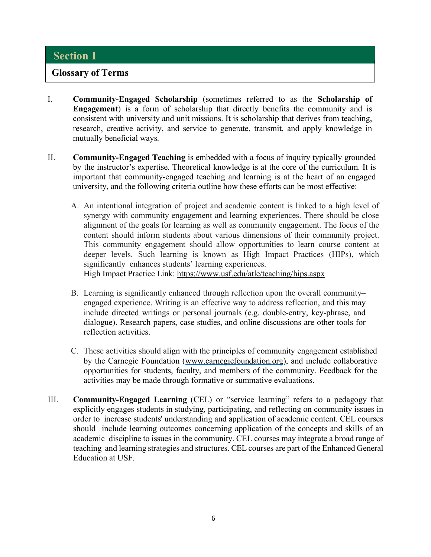## **Glossary of Terms**

- I. **Community-Engaged Scholarship** (sometimes referred to as the **Scholarship of Engagement**) is a form of scholarship that directly benefits the community and is consistent with university and unit missions. It is scholarship that derives from teaching, research, creative activity, and service to generate, transmit, and apply knowledge in mutually beneficial ways.
- II. **Community-Engaged Teaching** is embedded with a focus of inquiry typically grounded by the instructor's expertise. Theoretical knowledge is at the core of the curriculum. It is important that community-engaged teaching and learning is at the heart of an engaged university, and the following criteria outline how these efforts can be most effective:
	- A. An intentional integration of project and academic content is linked to a high level of synergy with community engagement and learning experiences. There should be close alignment of the goals for learning as well as community engagement. The focus of the content should inform students about various dimensions of their community project. This community engagement should allow opportunities to learn course content at deeper levels. Such learning is known as High Impact Practices (HIPs), which significantly enhances students' learning experiences.

High Impact Practice Link: https://www.usf.edu/atle/teaching/hips.aspx

- B. Learning is significantly enhanced through reflection upon the overall community– engaged experience. Writing is an effective way to address reflection, and this may include directed writings or personal journals (e.g. double-entry, key-phrase, and dialogue). Research papers, case studies, and online discussions are other tools for reflection activities.
- C. These activities should align with the principles of community engagement established by the Carnegie Foundation (www.carnegiefoundation.org), and include collaborative opportunities for students, faculty, and members of the community. Feedback for the activities may be made through formative or summative evaluations.
- III. **Community-Engaged Learning** (CEL) or "service learning" refers to a pedagogy that explicitly engages students in studying, participating, and reflecting on community issues in order to increase students' understanding and application of academic content. CEL courses should include learning outcomes concerning application of the concepts and skills of an academic discipline to issues in the community. CEL courses may integrate a broad range of teaching and learning strategies and structures. CEL courses are part of the Enhanced General Education at USF.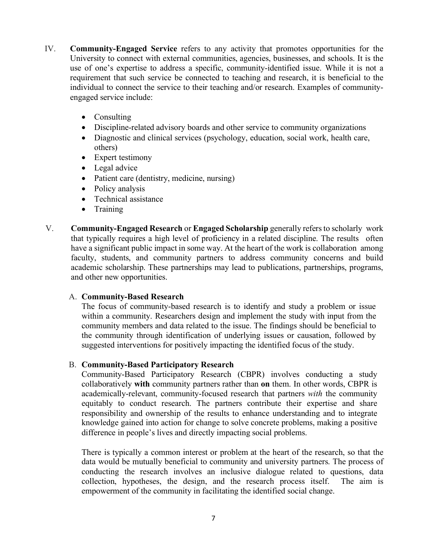- IV. **Community-Engaged Service** refers to any activity that promotes opportunities for the University to connect with external communities, agencies, businesses, and schools. It is the use of one's expertise to address a specific, community-identified issue. While it is not a requirement that such service be connected to teaching and research, it is beneficial to the individual to connect the service to their teaching and/or research. Examples of communityengaged service include:
	- Consulting
	- Discipline-related advisory boards and other service to community organizations
	- Diagnostic and clinical services (psychology, education, social work, health care, others)
	- Expert testimony
	- Legal advice
	- Patient care (dentistry, medicine, nursing)
	- Policy analysis
	- Technical assistance
	- Training
- V. **Community-Engaged Research** or **Engaged Scholarship** generally refersto scholarly work that typically requires a high level of proficiency in a related discipline. The results often have a significant public impact in some way. At the heart of the work is collaboration among faculty, students, and community partners to address community concerns and build academic scholarship. These partnerships may lead to publications, partnerships, programs, and other new opportunities.

## A. **Community-Based Research**

The focus of community-based research is to identify and study a problem or issue within a community. Researchers design and implement the study with input from the community members and data related to the issue. The findings should be beneficial to the community through identification of underlying issues or causation, followed by suggested interventions for positively impacting the identified focus of the study.

## B. **Community-Based Participatory Research**

Community-Based Participatory Research (CBPR) involves conducting a study collaboratively **with** community partners rather than **on** them. In other words, CBPR is academically-relevant, community-focused research that partners *with* the community equitably to conduct research. The partners contribute their expertise and share responsibility and ownership of the results to enhance understanding and to integrate knowledge gained into action for change to solve concrete problems, making a positive difference in people's lives and directly impacting social problems.

There is typically a common interest or problem at the heart of the research, so that the data would be mutually beneficial to community and university partners. The process of conducting the research involves an inclusive dialogue related to questions, data collection, hypotheses, the design, and the research process itself. The aim is empowerment of the community in facilitating the identified social change.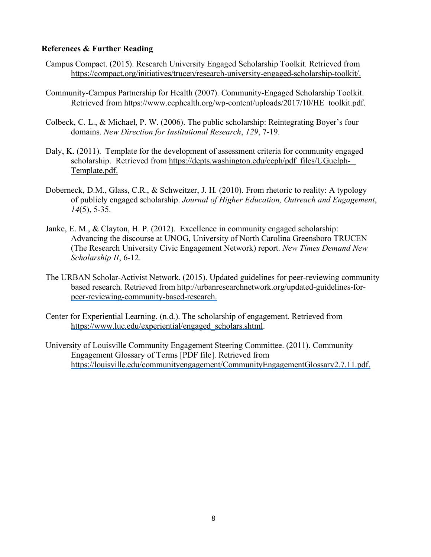#### **References & Further Reading**

- Campus Compact. (2015). Research University Engaged Scholarship Toolkit. Retrieved from https://compact.org/initiatives/trucen/research-university-engaged-scholarship-toolkit/.
- Community-Campus Partnership for Health (2007). Community-Engaged Scholarship Toolkit. Retrieved from https://www.ccphealth.org/wp-content/uploads/2017/10/HE\_toolkit.pdf.
- Colbeck, C. L., & Michael, P. W. (2006). The public scholarship: Reintegrating Boyer's four domains. *New Direction for Institutional Research*, *129*, 7-19.
- Daly, K. (2011). Template for the development of assessment criteria for community engaged scholarship. Retrieved from https://depts.washington.edu/ccph/pdf\_files/UGuelph-Template.pdf.
- Doberneck, D.M., Glass, C.R., & Schweitzer, J. H. (2010). From rhetoric to reality: A typology of publicly engaged scholarship. *Journal of Higher Education, Outreach and Engagement*, *14*(5), 5-35.
- Janke, E. M., & Clayton, H. P. (2012). Excellence in community engaged scholarship: Advancing the discourse at UNOG, University of North Carolina Greensboro TRUCEN (The Research University Civic Engagement Network) report. *New Times Demand New Scholarship II*, 6-12.
- The URBAN Scholar-Activist Network. (2015). Updated guidelines for peer-reviewing community based research. Retrieved from http://urbanresearchnetwork.org/updated-guidelines-forpeer-reviewing-community-based-research.
- Center for Experiential Learning. (n.d.). The scholarship of engagement. Retrieved from https://www.luc.edu/experiential/engaged\_scholars.shtml.
- University of Louisville Community Engagement Steering Committee. (2011). Community Engagement Glossary of Terms [PDF file]. Retrieved from https://louisville.edu/communityengagement/CommunityEngagementGlossary2.7.11.pdf.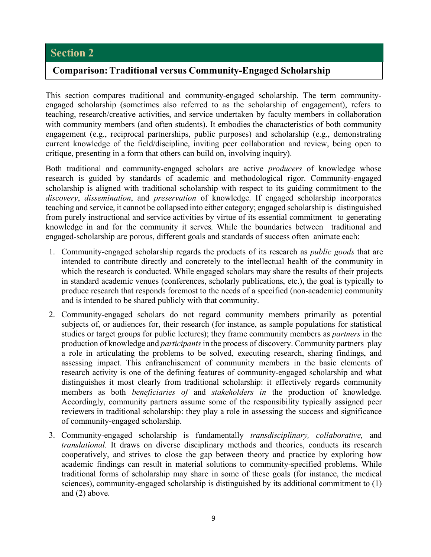## **Comparison:Traditional versus Community-Engaged Scholarship**

This section compares traditional and community-engaged scholarship. The term communityengaged scholarship (sometimes also referred to as the scholarship of engagement), refers to teaching, research/creative activities, and service undertaken by faculty members in collaboration with community members (and often students). It embodies the characteristics of both community engagement (e.g., reciprocal partnerships, public purposes) and scholarship (e.g., demonstrating current knowledge of the field/discipline, inviting peer collaboration and review, being open to critique, presenting in a form that others can build on, involving inquiry).

Both traditional and community-engaged scholars are active *producers* of knowledge whose research is guided by standards of academic and methodological rigor. Community-engaged scholarship is aligned with traditional scholarship with respect to its guiding commitment to the *discovery*, *dissemination*, and *preservation* of knowledge. If engaged scholarship incorporates teaching and service, it cannot be collapsed into either category; engaged scholarship is distinguished from purely instructional and service activities by virtue of its essential commitment to generating knowledge in and for the community it serves. While the boundaries between traditional and engaged-scholarship are porous, different goals and standards of success often animate each:

- 1. Community-engaged scholarship regards the products of its research as *public goods* that are intended to contribute directly and concretely to the intellectual health of the community in which the research is conducted. While engaged scholars may share the results of their projects in standard academic venues (conferences, scholarly publications, etc.), the goal is typically to produce research that responds foremost to the needs of a specified (non-academic) community and is intended to be shared publicly with that community.
- 2. Community-engaged scholars do not regard community members primarily as potential subjects of, or audiences for, their research (for instance, as sample populations for statistical studies or target groups for public lectures); they frame community members as *partners* in the production of knowledge and *participants*in the process of discovery. Community partners play a role in articulating the problems to be solved, executing research, sharing findings, and assessing impact. This enfranchisement of community members in the basic elements of research activity is one of the defining features of community-engaged scholarship and what distinguishes it most clearly from traditional scholarship: it effectively regards community members as both *beneficiaries of* and *stakeholders in* the production of knowledge. Accordingly, community partners assume some of the responsibility typically assigned peer reviewers in traditional scholarship: they play a role in assessing the success and significance of community-engaged scholarship.
- 3. Community-engaged scholarship is fundamentally *transdisciplinary, collaborative,* and *translational.* It draws on diverse disciplinary methods and theories, conducts its research cooperatively, and strives to close the gap between theory and practice by exploring how academic findings can result in material solutions to community-specified problems. While traditional forms of scholarship may share in some of these goals (for instance, the medical sciences), community-engaged scholarship is distinguished by its additional commitment to (1) and (2) above.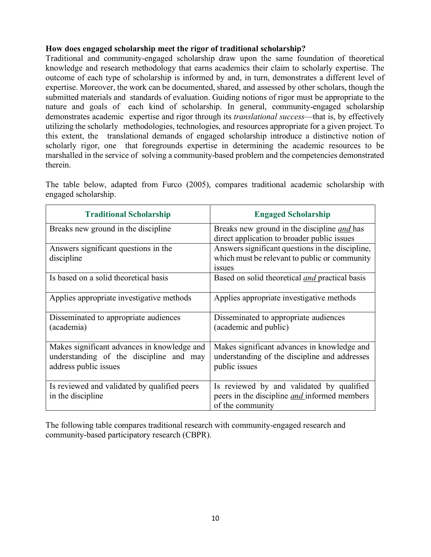## **How does engaged scholarship meet the rigor of traditional scholarship?**

Traditional and community-engaged scholarship draw upon the same foundation of theoretical knowledge and research methodology that earns academics their claim to scholarly expertise. The outcome of each type of scholarship is informed by and, in turn, demonstrates a different level of expertise. Moreover, the work can be documented, shared, and assessed by other scholars, though the submitted materials and standards of evaluation. Guiding notions of rigor must be appropriate to the nature and goals of each kind of scholarship. In general, community-engaged scholarship demonstrates academic expertise and rigor through its *translational success*—that is, by effectively utilizing the scholarly methodologies, technologies, and resources appropriate for a given project. To this extent, the translational demands of engaged scholarship introduce a distinctive notion of scholarly rigor, one that foregrounds expertise in determining the academic resources to be marshalled in the service of solving a community-based problem and the competencies demonstrated therein.

The table below, adapted from Furco (2005), compares traditional academic scholarship with engaged scholarship.

| <b>Traditional Scholarship</b>                                                                                  | <b>Engaged Scholarship</b>                                                                                              |  |  |
|-----------------------------------------------------------------------------------------------------------------|-------------------------------------------------------------------------------------------------------------------------|--|--|
| Breaks new ground in the discipline                                                                             | Breaks new ground in the discipline <i>and</i> has<br>direct application to broader public issues                       |  |  |
| Answers significant questions in the<br>discipline                                                              | Answers significant questions in the discipline,<br>which must be relevant to public or community<br>1SSU <sub>es</sub> |  |  |
| Is based on a solid theoretical basis                                                                           | Based on solid theoretical <i>and</i> practical basis                                                                   |  |  |
| Applies appropriate investigative methods                                                                       | Applies appropriate investigative methods                                                                               |  |  |
| Disseminated to appropriate audiences<br>(academia)                                                             | Disseminated to appropriate audiences<br>(academic and public)                                                          |  |  |
| Makes significant advances in knowledge and<br>understanding of the discipline and may<br>address public issues | Makes significant advances in knowledge and<br>understanding of the discipline and addresses<br>public issues           |  |  |
| Is reviewed and validated by qualified peers<br>in the discipline                                               | Is reviewed by and validated by qualified<br>peers in the discipline <i>and</i> informed members<br>of the community    |  |  |

The following table compares traditional research with community-engaged research and community-based participatory research (CBPR).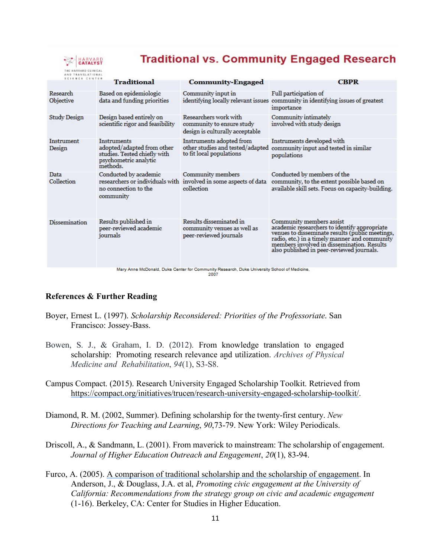

## **Traditional vs. Community Engaged Research**

| SCIENCE CENTER        | <b>Traditional</b>                                                                                             | <b>Community-Engaged</b>                                                                            | <b>CBPR</b>                                                                                                                                                                                                                                                             |
|-----------------------|----------------------------------------------------------------------------------------------------------------|-----------------------------------------------------------------------------------------------------|-------------------------------------------------------------------------------------------------------------------------------------------------------------------------------------------------------------------------------------------------------------------------|
| Research<br>Objective | Based on epidemiologic<br>data and funding priorities                                                          | Community input in                                                                                  | Full participation of<br>identifying locally relevant issues community in identifying issues of greatest<br>importance                                                                                                                                                  |
| <b>Study Design</b>   | Design based entirely on<br>scientific rigor and feasibility                                                   | Researchers work with<br>community to ensure study<br>design is culturally acceptable               | Community intimately<br>involved with study design                                                                                                                                                                                                                      |
| Instrument<br>Design  | Instruments<br>adopted/adapted from other<br>studies. Tested chiefly with<br>psychometric analytic<br>methods. | Instruments adopted from<br>other studies and tested/adapted<br>to fit local populations            | Instruments developed with<br>community input and tested in similar<br>populations                                                                                                                                                                                      |
| Data<br>Collection    | Conducted by academic<br>no connection to the<br>community                                                     | Community members<br>researchers or individuals with involved in some aspects of data<br>collection | Conducted by members of the<br>community, to the extent possible based on<br>available skill sets. Focus on capacity-building.                                                                                                                                          |
| <b>Dissemination</b>  | Results published in<br>peer-reviewed academic<br>journals                                                     | Results disseminated in<br>community venues as well as<br>peer-reviewed journals                    | Community members assist<br>academic researchers to identify appropriate<br>venues to disseminate results (public meetings,<br>radio, etc.) in a timely manner and community<br>members involved in dissemination. Results<br>also published in peer-reviewed journals. |
|                       |                                                                                                                | Mary Anne McDonald, Duke Center for Community Research, Duke University School of Medicine,         |                                                                                                                                                                                                                                                                         |

2007

#### **References & Further Reading**

- Boyer, Ernest L. (1997). *Scholarship Reconsidered: Priorities of the Professoriate*. San Francisco: Jossey-Bass.
- Bowen, S. J., & Graham, I. D. (2012). From knowledge translation to engaged scholarship: Promoting research relevance and utilization. *Archives of Physical Medicine and Rehabilitation*, *94*(1), S3-S8.
- Campus Compact. (2015). Research University Engaged Scholarship Toolkit. Retrieved from https://compact.org/initiatives/trucen/research-university-engaged-scholarship-toolkit/.
- Diamond, R. M. (2002, Summer). Defining scholarship for the twenty-first century. *New Directions for Teaching and Learning*, *90*,73-79. New York: Wiley Periodicals.
- Driscoll, A., & Sandmann, L. (2001). From maverick to mainstream: The scholarship of engagement. *Journal of Higher Education Outreach and Engagement*, *20*(1), 83-94.
- Furco, A. (2005). A comparison of traditional scholarship and the scholarship of engagement. In Anderson, J., & Douglass, J.A. et al, *Promoting civic engagement at the University of California: Recommendations from the strategy group on civic and academic engagement* (1-16). Berkeley, CA: Center for Studies in Higher Education.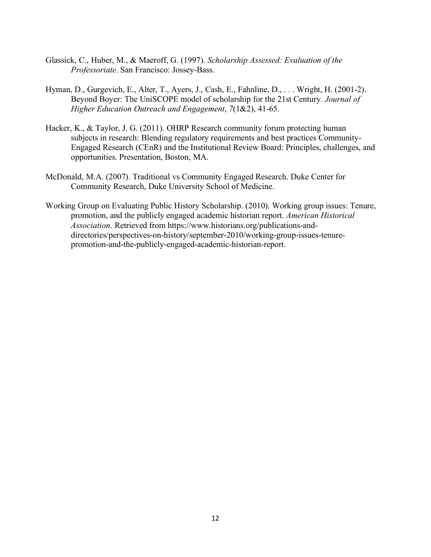- Glassick, C., Huber, M., & Maeroff, G. (1997). *Scholarship Assessed: Evaluation of the Professoriate*. San Francisco: Jossey-Bass.
- Hyman, D., Gurgevich, E., Alter, T., Ayers, J., Cash, E., Fahnline, D., . . . Wright, H. (2001-2). Beyond Boyer: The UniSCOPE model of scholarship for the 21st Century. *Journal of Higher Education Outreach and Engagement*, *7*(1&2), 41-65.
- Hacker, K., & Taylor, J. G. (2011). OHRP Research community forum protecting human subjects in research: Blending regulatory requirements and best practices Community-Engaged Research (CEnR) and the Institutional Review Board: Principles, challenges, and opportunities. Presentation, Boston, MA.
- McDonald, M.A. (2007). Traditional vs Community Engaged Research. Duke Center for Community Research, Duke University School of Medicine.
- Working Group on Evaluating Public History Scholarship. (2010). Working group issues: Tenure, promotion, and the publicly engaged academic historian report. *American Historical Association*. Retrieved from https://www.historians.org/publications-anddirectories/perspectives-on-history/september-2010/working-group-issues-tenurepromotion-and-the-publicly-engaged-academic-historian-report.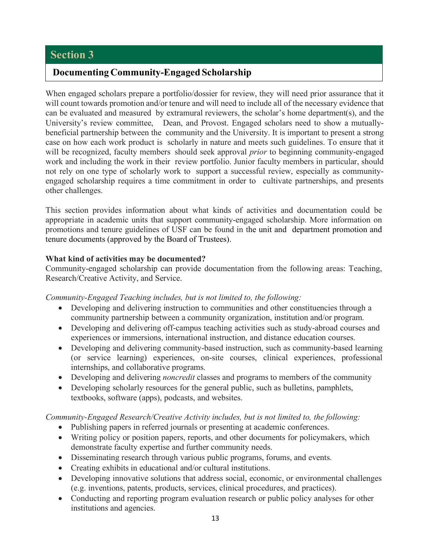## **Documenting Community-Engaged Scholarship**

When engaged scholars prepare a portfolio/dossier for review, they will need prior assurance that it will count towards promotion and/or tenure and will need to include all of the necessary evidence that can be evaluated and measured by extramural reviewers, the scholar's home department(s), and the University's review committee, Dean, and Provost. Engaged scholars need to show a mutuallybeneficial partnership between the community and the University. It is important to present a strong case on how each work product is scholarly in nature and meets such guidelines. To ensure that it will be recognized, faculty members should seek approval *prior* to beginning community-engaged work and including the work in their review portfolio. Junior faculty members in particular, should not rely on one type of scholarly work to support a successful review, especially as communityengaged scholarship requires a time commitment in order to cultivate partnerships, and presents other challenges.

This section provides information about what kinds of activities and documentation could be appropriate in academic units that support community-engaged scholarship. More information on promotions and tenure guidelines of USF can be found in the unit and department promotion and tenure documents (approved by the Board of Trustees).

#### **What kind of activities may be documented?**

Community-engaged scholarship can provide documentation from the following areas: Teaching, Research/Creative Activity, and Service.

*Community-Engaged Teaching includes, but is not limited to, the following:*

- Developing and delivering instruction to communities and other constituencies through a community partnership between a community organization, institution and/or program.
- Developing and delivering off-campus teaching activities such as study-abroad courses and experiences or immersions, international instruction, and distance education courses.
- Developing and delivering community-based instruction, such as community-based learning (or service learning) experiences, on-site courses, clinical experiences, professional internships, and collaborative programs.
- Developing and delivering *noncredit* classes and programs to members of the community
- Developing scholarly resources for the general public, such as bulletins, pamphlets, textbooks, software (apps), podcasts, and websites.

*Community-Engaged Research/Creative Activity includes, but is not limited to, the following:*

- Publishing papers in referred journals or presenting at academic conferences.
- Writing policy or position papers, reports, and other documents for policymakers, which demonstrate faculty expertise and further community needs.
- Disseminating research through various public programs, forums, and events.
- Creating exhibits in educational and/or cultural institutions.
- Developing innovative solutions that address social, economic, or environmental challenges (e.g. inventions, patents, products, services, clinical procedures, and practices).
- Conducting and reporting program evaluation research or public policy analyses for other institutions and agencies.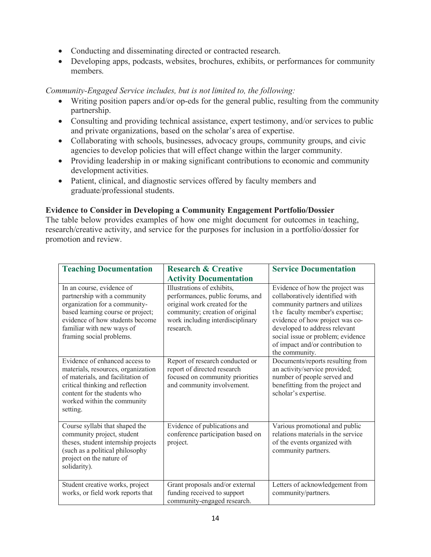- Conducting and disseminating directed or contracted research.
- Developing apps, podcasts, websites, brochures, exhibits, or performances for community members.

#### *Community-Engaged Service includes, but is not limited to, the following:*

- Writing position papers and/or op-eds for the general public, resulting from the community partnership.
- Consulting and providing technical assistance, expert testimony, and/or services to public and private organizations, based on the scholar's area of expertise.
- Collaborating with schools, businesses, advocacy groups, community groups, and civic agencies to develop policies that will effect change within the larger community.
- Providing leadership in or making significant contributions to economic and community development activities.
- Patient, clinical, and diagnostic services offered by faculty members and graduate/professional students.

#### **Evidence to Consider in Developing a Community Engagement Portfolio/Dossier**

The table below provides examples of how one might document for outcomes in teaching, research/creative activity, and service for the purposes for inclusion in a portfolio/dossier for promotion and review.

| <b>Teaching Documentation</b>                                                                                                                                                                                               | <b>Research &amp; Creative</b>                                                                                                                                                      | <b>Service Documentation</b>                                                                                                                                                                                                                                                                            |  |
|-----------------------------------------------------------------------------------------------------------------------------------------------------------------------------------------------------------------------------|-------------------------------------------------------------------------------------------------------------------------------------------------------------------------------------|---------------------------------------------------------------------------------------------------------------------------------------------------------------------------------------------------------------------------------------------------------------------------------------------------------|--|
|                                                                                                                                                                                                                             | <b>Activity Documentation</b>                                                                                                                                                       |                                                                                                                                                                                                                                                                                                         |  |
| In an course, evidence of<br>partnership with a community<br>organization for a community-<br>based learning course or project;<br>evidence of how students become<br>familiar with new ways of<br>framing social problems. | Illustrations of exhibits,<br>performances, public forums, and<br>original work created for the<br>community; creation of original<br>work including interdisciplinary<br>research. | Evidence of how the project was<br>collaboratively identified with<br>community partners and utilizes<br>the faculty member's expertise;<br>evidence of how project was co-<br>developed to address relevant<br>social issue or problem; evidence<br>of impact and/or contribution to<br>the community. |  |
| Evidence of enhanced access to<br>materials, resources, organization<br>of materials, and facilitation of<br>critical thinking and reflection<br>content for the students who<br>worked within the community<br>setting.    | Report of research conducted or<br>report of directed research<br>focused on community priorities<br>and community involvement.                                                     | Documents/reports resulting from<br>an activity/service provided;<br>number of people served and<br>benefitting from the project and<br>scholar's expertise.                                                                                                                                            |  |
| Course syllabi that shaped the<br>community project, student<br>theses, student internship projects<br>(such as a political philosophy<br>project on the nature of<br>solidarity).                                          | Evidence of publications and<br>conference participation based on<br>project.                                                                                                       | Various promotional and public<br>relations materials in the service<br>of the events organized with<br>community partners.                                                                                                                                                                             |  |
| Student creative works, project<br>works, or field work reports that                                                                                                                                                        | Grant proposals and/or external<br>funding received to support<br>community-engaged research.                                                                                       | Letters of acknowledgement from<br>community/partners.                                                                                                                                                                                                                                                  |  |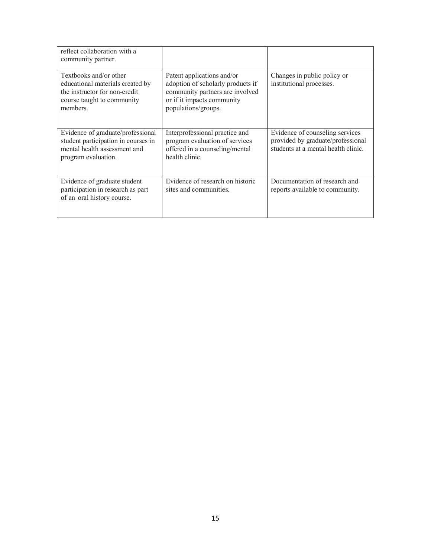| reflect collaboration with a<br>community partner.                                                                                    |                                                                                                                                                         |                                                                                                             |
|---------------------------------------------------------------------------------------------------------------------------------------|---------------------------------------------------------------------------------------------------------------------------------------------------------|-------------------------------------------------------------------------------------------------------------|
| Textbooks and/or other<br>educational materials created by<br>the instructor for non-credit<br>course taught to community<br>members. | Patent applications and/or<br>adoption of scholarly products if<br>community partners are involved<br>or if it impacts community<br>populations/groups. | Changes in public policy or<br>institutional processes.                                                     |
| Evidence of graduate/professional<br>student participation in courses in<br>mental health assessment and<br>program evaluation.       | Interprofessional practice and<br>program evaluation of services<br>offered in a counseling/mental<br>health clinic.                                    | Evidence of counseling services<br>provided by graduate/professional<br>students at a mental health clinic. |
| Evidence of graduate student<br>participation in research as part<br>of an oral history course.                                       | Evidence of research on historic<br>sites and communities.                                                                                              | Documentation of research and<br>reports available to community.                                            |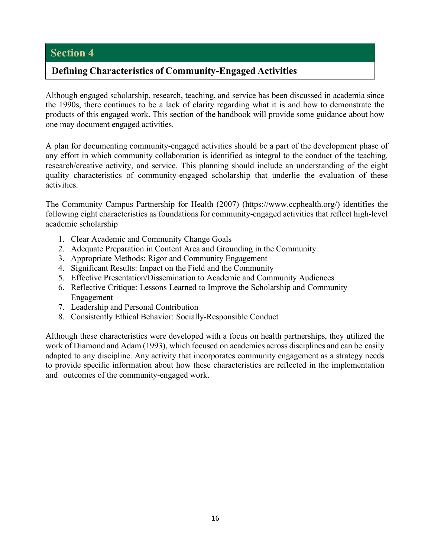## **Defining Characteristics of Community-Engaged Activities**

Although engaged scholarship, research, teaching, and service has been discussed in academia since the 1990s, there continues to be a lack of clarity regarding what it is and how to demonstrate the products of this engaged work. This section of the handbook will provide some guidance about how one may document engaged activities.

A plan for documenting community-engaged activities should be a part of the development phase of any effort in which community collaboration is identified as integral to the conduct of the teaching, research/creative activity, and service. This planning should include an understanding of the eight quality characteristics of community-engaged scholarship that underlie the evaluation of these activities.

The Community Campus Partnership for Health (2007) (https://www.ccphealth.org/) identifies the following eight characteristics as foundations for community-engaged activities that reflect high-level academic scholarship

- 1. Clear Academic and Community Change Goals
- 2. Adequate Preparation in Content Area and Grounding in the Community
- 3. Appropriate Methods: Rigor and Community Engagement
- 4. Significant Results: Impact on the Field and the Community
- 5. Effective Presentation/Dissemination to Academic and Community Audiences
- 6. Reflective Critique: Lessons Learned to Improve the Scholarship and Community Engagement
- 7. Leadership and Personal Contribution
- 8. Consistently Ethical Behavior: Socially-Responsible Conduct

Although these characteristics were developed with a focus on health partnerships, they utilized the work of Diamond and Adam (1993), which focused on academics across disciplines and can be easily adapted to any discipline. Any activity that incorporates community engagement as a strategy needs to provide specific information about how these characteristics are reflected in the implementation and outcomes of the community-engaged work.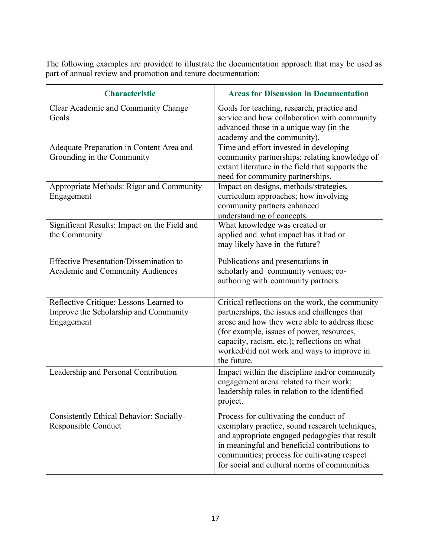The following examples are provided to illustrate the documentation approach that may be used as part of annual review and promotion and tenure documentation:

| <b>Characteristic</b>                                                                          | <b>Areas for Discussion in Documentation</b>                                                                                                                                                                                                                                                               |
|------------------------------------------------------------------------------------------------|------------------------------------------------------------------------------------------------------------------------------------------------------------------------------------------------------------------------------------------------------------------------------------------------------------|
| Clear Academic and Community Change<br>Goals                                                   | Goals for teaching, research, practice and<br>service and how collaboration with community<br>advanced those in a unique way (in the<br>academy and the community).                                                                                                                                        |
| Adequate Preparation in Content Area and<br>Grounding in the Community                         | Time and effort invested in developing<br>community partnerships; relating knowledge of<br>extant literature in the field that supports the<br>need for community partnerships.                                                                                                                            |
| Appropriate Methods: Rigor and Community<br>Engagement                                         | Impact on designs, methods/strategies,<br>curriculum approaches; how involving<br>community partners enhanced<br>understanding of concepts.                                                                                                                                                                |
| Significant Results: Impact on the Field and<br>the Community                                  | What knowledge was created or<br>applied and what impact has it had or<br>may likely have in the future?                                                                                                                                                                                                   |
| <b>Effective Presentation/Dissemination to</b><br><b>Academic and Community Audiences</b>      | Publications and presentations in<br>scholarly and community venues; co-<br>authoring with community partners.                                                                                                                                                                                             |
| Reflective Critique: Lessons Learned to<br>Improve the Scholarship and Community<br>Engagement | Critical reflections on the work, the community<br>partnerships, the issues and challenges that<br>arose and how they were able to address these<br>(for example, issues of power, resources,<br>capacity, racism, etc.); reflections on what<br>worked/did not work and ways to improve in<br>the future. |
| Leadership and Personal Contribution                                                           | Impact within the discipline and/or community<br>engagement arena related to their work;<br>leadership roles in relation to the identified<br>project.                                                                                                                                                     |
| Consistently Ethical Behavior: Socially-<br>Responsible Conduct                                | Process for cultivating the conduct of<br>exemplary practice, sound research techniques,<br>and appropriate engaged pedagogies that result<br>in meaningful and beneficial contributions to<br>communities; process for cultivating respect<br>for social and cultural norms of communities.               |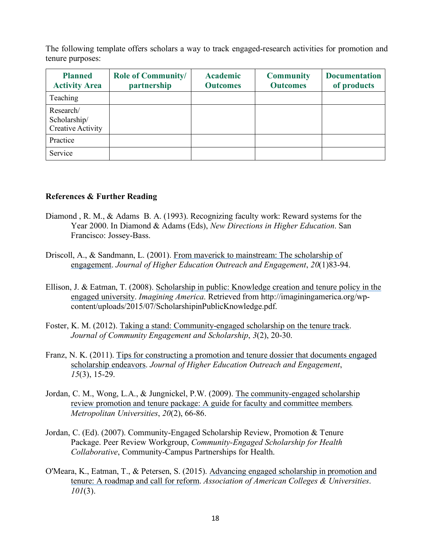The following template offers scholars a way to track engaged-research activities for promotion and tenure purposes:

| <b>Planned</b><br><b>Activity Area</b>                | <b>Role of Community/</b><br>partnership | <b>Academic</b><br><b>Outcomes</b> | <b>Community</b><br><b>Outcomes</b> | <b>Documentation</b><br>of products |
|-------------------------------------------------------|------------------------------------------|------------------------------------|-------------------------------------|-------------------------------------|
| Teaching                                              |                                          |                                    |                                     |                                     |
| Research/<br>Scholarship/<br><b>Creative Activity</b> |                                          |                                    |                                     |                                     |
| Practice                                              |                                          |                                    |                                     |                                     |
| Service                                               |                                          |                                    |                                     |                                     |

#### **References & Further Reading**

- Diamond , R. M., & Adams B. A. (1993). Recognizing faculty work: Reward systems for the Year 2000. In Diamond & Adams (Eds), *New Directions in Higher Education*. San Francisco: Jossey-Bass.
- Driscoll, A., & Sandmann, L. (2001). From maverick to mainstream: The scholarship of engagement. *Journal of Higher Education Outreach and Engagement*, *20*(1)83-94.
- Ellison, J. & Eatman, T. (2008). Scholarship in public: Knowledge creation and tenure policy in the engaged university. *Imagining America*. Retrieved from http://imaginingamerica.org/wpcontent/uploads/2015/07/ScholarshipinPublicKnowledge.pdf.
- Foster, K. M. (2012). Taking a stand: Community-engaged scholarship on the tenure track. *Journal of Community Engagement and Scholarship*, *3*(2), 20-30.
- Franz, N. K. (2011). Tips for constructing a promotion and tenure dossier that documents engaged scholarship endeavors. *Journal of Higher Education Outreach and Engagement*, *15*(3), 15-29.
- Jordan, C. M., Wong, L.A., & Jungnickel, P.W. (2009). The community-engaged scholarship review promotion and tenure package: A guide for faculty and committee members*. Metropolitan Universities*, *20*(2), 66-86.
- Jordan, C. (Ed). (2007). Community-Engaged Scholarship Review, Promotion & Tenure Package. Peer Review Workgroup, *Community-Engaged Scholarship for Health Collaborative*, Community-Campus Partnerships for Health.
- O'Meara, K., Eatman, T., & Petersen, S. (2015). Advancing engaged scholarship in promotion and tenure: A roadmap and call for reform. *Association of American Colleges & Universities*. *101*(3).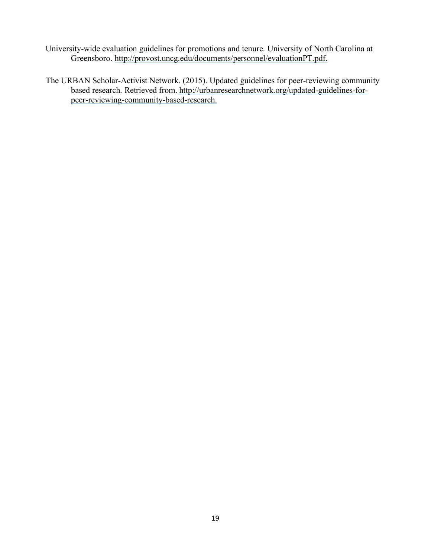- University-wide evaluation guidelines for promotions and tenure. University of North Carolina at Greensboro. http://provost.uncg.edu/documents/personnel/evaluationPT.pdf.
- The URBAN Scholar-Activist Network. (2015). Updated guidelines for peer-reviewing community based research. Retrieved from. http://urbanresearchnetwork.org/updated-guidelines-forpeer-reviewing-community-based-research.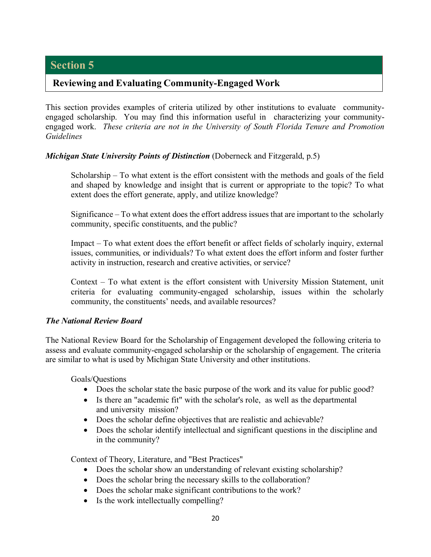## **Reviewing and Evaluating Community-Engaged Work**

This section provides examples of criteria utilized by other institutions to evaluate communityengaged scholarship. You may find this information useful in characterizing your communityengaged work. *These criteria are not in the University of South Florida Tenure and Promotion Guidelines*

#### *Michigan State University Points of Distinction* (Doberneck and Fitzgerald, p.5)

Scholarship – To what extent is the effort consistent with the methods and goals of the field and shaped by knowledge and insight that is current or appropriate to the topic? To what extent does the effort generate, apply, and utilize knowledge?

Significance – To what extent does the effort address issues that are important to the scholarly community, specific constituents, and the public?

Impact – To what extent does the effort benefit or affect fields of scholarly inquiry, external issues, communities, or individuals? To what extent does the effort inform and foster further activity in instruction, research and creative activities, or service?

Context – To what extent is the effort consistent with University Mission Statement, unit criteria for evaluating community-engaged scholarship, issues within the scholarly community, the constituents' needs, and available resources?

#### *The National Review Board*

The National Review Board for the Scholarship of Engagement developed the following criteria to assess and evaluate community-engaged scholarship or the scholarship of engagement. The criteria are similar to what is used by Michigan State University and other institutions.

Goals/Questions

- Does the scholar state the basic purpose of the work and its value for public good?
- Is there an "academic fit" with the scholar's role, as well as the departmental and university mission?
- Does the scholar define objectives that are realistic and achievable?
- Does the scholar identify intellectual and significant questions in the discipline and in the community?

Context of Theory, Literature, and "Best Practices"

- Does the scholar show an understanding of relevant existing scholarship?
- Does the scholar bring the necessary skills to the collaboration?
- Does the scholar make significant contributions to the work?
- Is the work intellectually compelling?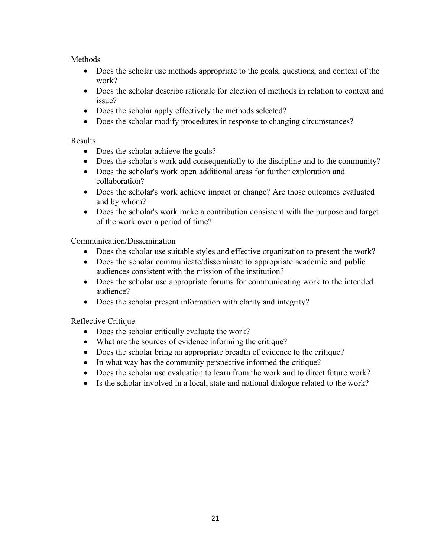## **Methods**

- Does the scholar use methods appropriate to the goals, questions, and context of the work?
- Does the scholar describe rationale for election of methods in relation to context and issue?
- Does the scholar apply effectively the methods selected?
- Does the scholar modify procedures in response to changing circumstances?

#### Results

- Does the scholar achieve the goals?
- Does the scholar's work add consequentially to the discipline and to the community?
- Does the scholar's work open additional areas for further exploration and collaboration?
- Does the scholar's work achieve impact or change? Are those outcomes evaluated and by whom?
- Does the scholar's work make a contribution consistent with the purpose and target of the work over a period of time?

Communication/Dissemination

- Does the scholar use suitable styles and effective organization to present the work?
- Does the scholar communicate/disseminate to appropriate academic and public audiences consistent with the mission of the institution?
- Does the scholar use appropriate forums for communicating work to the intended audience?
- Does the scholar present information with clarity and integrity?

Reflective Critique

- Does the scholar critically evaluate the work?
- What are the sources of evidence informing the critique?
- Does the scholar bring an appropriate breadth of evidence to the critique?
- In what way has the community perspective informed the critique?
- Does the scholar use evaluation to learn from the work and to direct future work?
- Is the scholar involved in a local, state and national dialogue related to the work?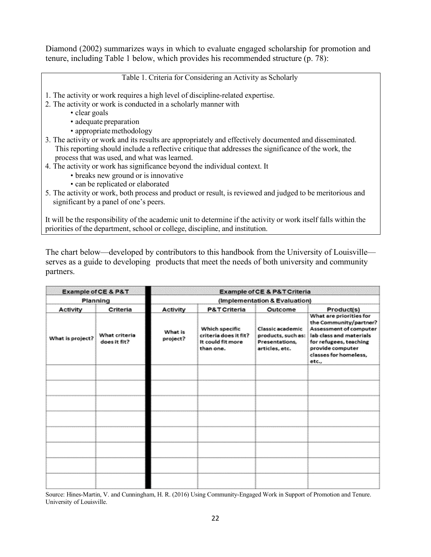Diamond (2002) summarizes ways in which to evaluate engaged scholarship for promotion and tenure, including Table 1 below, which provides his recommended structure (p. 78):

Table 1. Criteria for Considering an Activity as Scholarly

- 1. The activity or work requires a high level of discipline-related expertise.
- 2. The activity or work is conducted in a scholarly manner with
	- clear goals
		- adequate preparation
		- appropriate methodology
- 3. The activity or work and its results are appropriately and effectively documented and disseminated. This reporting should include a reflective critique that addresses the significance of the work, the process that was used, and what was learned.
- 4. The activity or work has significance beyond the individual context. It
	- breaks new ground or is innovative
	- can be replicated or elaborated
- 5. The activity or work, both process and product or result, is reviewed and judged to be meritorious and significant by a panel of one's peers.

It will be the responsibility of the academic unit to determine if the activity or work itself falls within the priorities of the department, school or college, discipline, and institution.

The chart below—developed by contributors to this handbook from the University of Louisville serves as a guide to developing products that meet the needs of both university and community partners.

| <b>Example of CE &amp; P&amp;T</b><br>Planning |                               | <b>Example of CE &amp; P&amp;T Criteria</b> |                                                                           |                                                                            |                                                                                                                                                                                        |
|------------------------------------------------|-------------------------------|---------------------------------------------|---------------------------------------------------------------------------|----------------------------------------------------------------------------|----------------------------------------------------------------------------------------------------------------------------------------------------------------------------------------|
|                                                |                               | (Implementation & Evaluation)               |                                                                           |                                                                            |                                                                                                                                                                                        |
| <b>Activity</b>                                | Criteria                      | <b>Activity</b>                             | P&T Criteria                                                              | Outcome                                                                    | Product(s)                                                                                                                                                                             |
| What is project?                               | What criteria<br>does it fit? | What is<br>project?                         | Which specific<br>criteria does it fit?<br>It could fit more<br>than one. | Classic academic<br>products, such as:<br>Presentations.<br>articles, etc. | What are priorities for<br>the Community/partner?<br>Assessment of computer<br>lab class and materials<br>for refugees, teaching<br>provide computer<br>classes for homeless,<br>etc., |
|                                                |                               |                                             |                                                                           |                                                                            |                                                                                                                                                                                        |
|                                                |                               |                                             |                                                                           |                                                                            |                                                                                                                                                                                        |
|                                                |                               |                                             |                                                                           |                                                                            |                                                                                                                                                                                        |
|                                                |                               |                                             |                                                                           |                                                                            |                                                                                                                                                                                        |
|                                                |                               |                                             |                                                                           |                                                                            |                                                                                                                                                                                        |
|                                                |                               |                                             |                                                                           |                                                                            |                                                                                                                                                                                        |
|                                                |                               |                                             |                                                                           |                                                                            |                                                                                                                                                                                        |
|                                                |                               |                                             |                                                                           |                                                                            |                                                                                                                                                                                        |

Source: Hines-Martin, V. and Cunningham, H. R. (2016) Using Community-Engaged Work in Support of Promotion and Tenure. University of Louisville.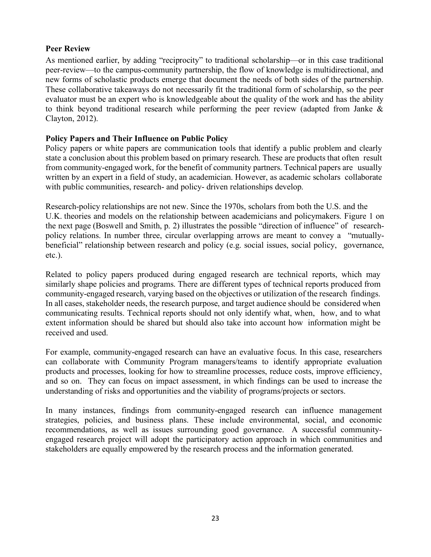## **Peer Review**

As mentioned earlier, by adding "reciprocity" to traditional scholarship—or in this case traditional peer-review—to the campus-community partnership, the flow of knowledge is multidirectional, and new forms of scholastic products emerge that document the needs of both sides of the partnership. These collaborative takeaways do not necessarily fit the traditional form of scholarship, so the peer evaluator must be an expert who is knowledgeable about the quality of the work and has the ability to think beyond traditional research while performing the peer review (adapted from Janke  $\&$ Clayton, 2012).

#### **Policy Papers and Their Influence on Public Policy**

Policy papers or white papers are communication tools that identify a public problem and clearly state a conclusion about this problem based on primary research. These are products that often result from community-engaged work, for the benefit of community partners. Technical papers are usually written by an expert in a field of study, an academician. However, as academic scholars collaborate with public communities, research- and policy- driven relationships develop.

Research-policy relationships are not new. Since the 1970s, scholars from both the U.S. and the U.K. theories and models on the relationship between academicians and policymakers. Figure 1 on the next page (Boswell and Smith, p. 2) illustrates the possible "direction of influence" of researchpolicy relations. In number three, circular overlapping arrows are meant to convey a "mutuallybeneficial" relationship between research and policy (e.g. social issues, social policy, governance, etc.).

Related to policy papers produced during engaged research are technical reports, which may similarly shape policies and programs. There are different types of technical reports produced from community-engaged research, varying based on the objectives or utilization of the research findings. In all cases, stakeholder needs, the research purpose, and target audience should be considered when communicating results. Technical reports should not only identify what, when, how, and to what extent information should be shared but should also take into account how information might be received and used.

For example, community-engaged research can have an evaluative focus. In this case, researchers can collaborate with Community Program managers/teams to identify appropriate evaluation products and processes, looking for how to streamline processes, reduce costs, improve efficiency, and so on. They can focus on impact assessment, in which findings can be used to increase the understanding of risks and opportunities and the viability of programs/projects or sectors.

In many instances, findings from community-engaged research can influence management strategies, policies, and business plans. These include environmental, social, and economic recommendations, as well as issues surrounding good governance. A successful communityengaged research project will adopt the participatory action approach in which communities and stakeholders are equally empowered by the research process and the information generated.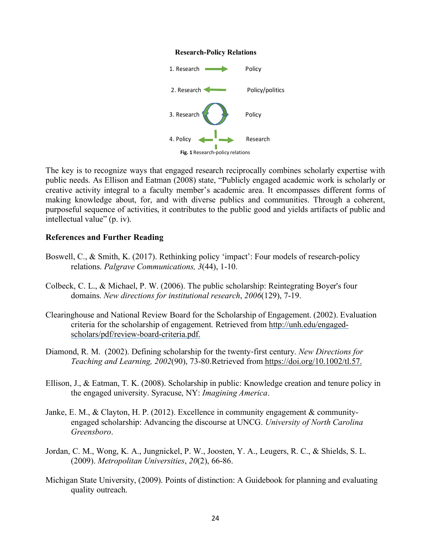#### **Research-Policy Relations**



The key is to recognize ways that engaged research reciprocally combines scholarly expertise with public needs. As Ellison and Eatman (2008) state, "Publicly engaged academic work is scholarly or creative activity integral to a faculty member's academic area. It encompasses different forms of making knowledge about, for, and with diverse publics and communities. Through a coherent, purposeful sequence of activities, it contributes to the public good and yields artifacts of public and intellectual value" (p. iv).

#### **References and Further Reading**

- Boswell, C., & Smith, K. (2017). Rethinking policy 'impact': Four models of research-policy relations. *Palgrave Communications, 3*(44), 1-10.
- Colbeck, C. L., & Michael, P. W. (2006). The public scholarship: Reintegrating Boyer's four domains. *New directions for institutional research*, *2006*(129), 7-19.
- Clearinghouse and National Review Board for the Scholarship of Engagement. (2002). Evaluation criteria for the scholarship of engagement. Retrieved from http://unh.edu/engagedscholars/pdf/review-board-criteria.pdf.
- Diamond, R. M. (2002). Defining scholarship for the twenty-first century. *New Directions for Teaching and Learning, 2002*(90), 73-80.Retrieved from https://doi.org/10.1002/tl.57.
- Ellison, J., & Eatman, T. K. (2008). Scholarship in public: Knowledge creation and tenure policy in the engaged university. Syracuse, NY: *Imagining America*.
- Janke, E. M., & Clayton, H. P. (2012). Excellence in community engagement & communityengaged scholarship: Advancing the discourse at UNCG. *University of North Carolina Greensboro*.
- Jordan, C. M., Wong, K. A., Jungnickel, P. W., Joosten, Y. A., Leugers, R. C., & Shields, S. L. (2009). *Metropolitan Universities*, *20*(2), 66-86.
- Michigan State University, (2009). Points of distinction: A Guidebook for planning and evaluating quality outreach.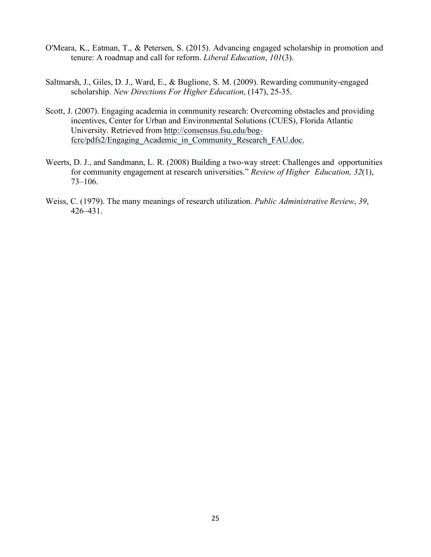- O'Meara, K., Eatman, T., & Petersen, S. (2015). Advancing engaged scholarship in promotion and tenure: A roadmap and call for reform. *Liberal Education*, *101*(3).
- Saltmarsh, J., Giles, D. J., Ward, E., & Buglione, S. M. (2009). Rewarding community-engaged scholarship. *New Directions For Higher Education*, (147), 25-35.
- Scott, J. (2007). Engaging academia in community research: Overcoming obstacles and providing incentives, Center for Urban and Environmental Solutions (CUES), Florida Atlantic University. Retrieved from http://consensus.fsu.edu/bogfcrc/pdfs2/Engaging\_Academic\_in\_Community\_Research\_FAU.doc.
- Weerts, D. J., and Sandmann, L. R. (2008) Building a two-way street: Challenges and opportunities for community engagement at research universities." *Review of Higher Education, 32*(1), 73–106.
- Weiss, C. (1979). The many meanings of research utilization. *Public Administrative Review*, *39*, 426–431.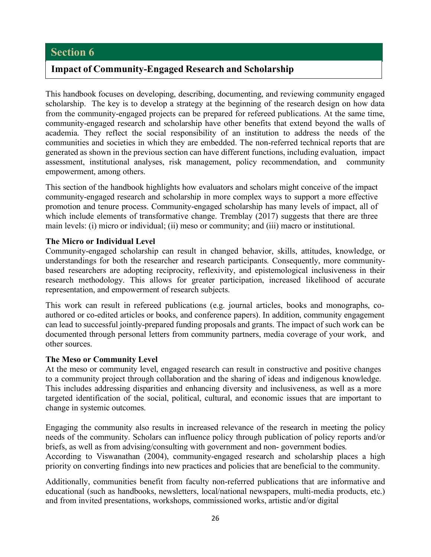## **Impact of Community-Engaged Research and Scholarship**

This handbook focuses on developing, describing, documenting, and reviewing community engaged scholarship. The key is to develop a strategy at the beginning of the research design on how data from the community-engaged projects can be prepared for refereed publications. At the same time, community-engaged research and scholarship have other benefits that extend beyond the walls of academia. They reflect the social responsibility of an institution to address the needs of the communities and societies in which they are embedded. The non-referred technical reports that are generated as shown in the previous section can have different functions, including evaluation, impact assessment, institutional analyses, risk management, policy recommendation, and community empowerment, among others.

This section of the handbook highlights how evaluators and scholars might conceive of the impact community-engaged research and scholarship in more complex ways to support a more effective promotion and tenure process. Community-engaged scholarship has many levels of impact, all of which include elements of transformative change. Tremblay (2017) suggests that there are three main levels: (i) micro or individual; (ii) meso or community; and (iii) macro or institutional.

#### **The Micro or Individual Level**

Community-engaged scholarship can result in changed behavior, skills, attitudes, knowledge, or understandings for both the researcher and research participants. Consequently, more communitybased researchers are adopting reciprocity, reflexivity, and epistemological inclusiveness in their research methodology. This allows for greater participation, increased likelihood of accurate representation, and empowerment of research subjects.

This work can result in refereed publications (e.g. journal articles, books and monographs, coauthored or co-edited articles or books, and conference papers). In addition, community engagement can lead to successful jointly-prepared funding proposals and grants. The impact of such work can be documented through personal letters from community partners, media coverage of your work, and other sources.

## **The Meso or Community Level**

At the meso or community level, engaged research can result in constructive and positive changes to a community project through collaboration and the sharing of ideas and indigenous knowledge. This includes addressing disparities and enhancing diversity and inclusiveness, as well as a more targeted identification of the social, political, cultural, and economic issues that are important to change in systemic outcomes.

Engaging the community also results in increased relevance of the research in meeting the policy needs of the community. Scholars can influence policy through publication of policy reports and/or briefs, as well as from advising/consulting with government and non- government bodies. According to Viswanathan (2004), community-engaged research and scholarship places a high priority on converting findings into new practices and policies that are beneficial to the community.

Additionally, communities benefit from faculty non-referred publications that are informative and educational (such as handbooks, newsletters, local/national newspapers, multi-media products, etc.) and from invited presentations, workshops, commissioned works, artistic and/or digital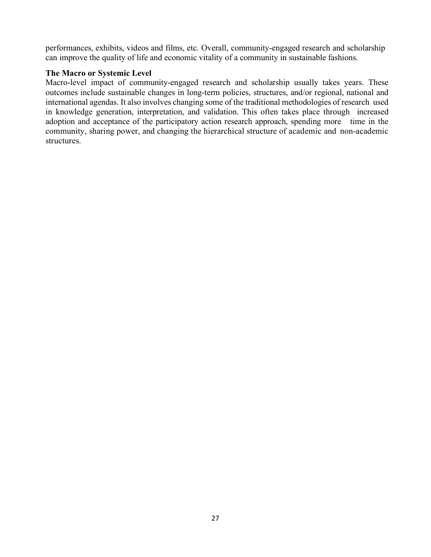performances, exhibits, videos and films, etc. Overall, community-engaged research and scholarship can improve the quality of life and economic vitality of a community in sustainable fashions.

## **The Macro or Systemic Level**

Macro-level impact of community-engaged research and scholarship usually takes years. These outcomes include sustainable changes in long-term policies, structures, and/or regional, national and international agendas. It also involves changing some of the traditional methodologies of research used in knowledge generation, interpretation, and validation. This often takes place through increased adoption and acceptance of the participatory action research approach, spending more time in the community, sharing power, and changing the hierarchical structure of academic and non-academic structures.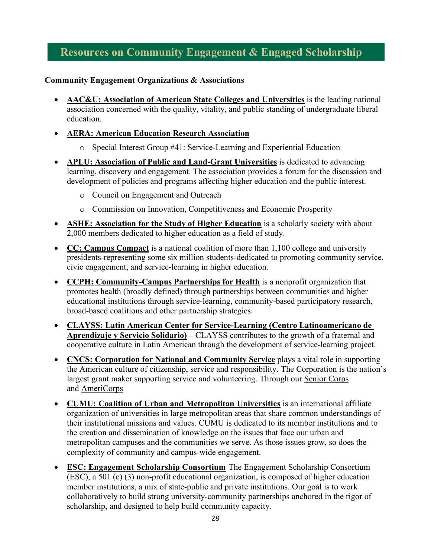## **Resources on Community Engagement & Engaged Scholarship**

## **Community Engagement Organizations & Associations**

- **AAC&U: Association of American State Colleges and Universities** is the leading national association concerned with the quality, vitality, and public standing of undergraduate liberal education.
- **AERA: American Education Research Association**
	- o Special Interest Group #41: Service-Learning and Experiential Education
- **APLU: Association of Public and Land-Grant Universities** is dedicated to advancing learning, discovery and engagement. The association provides a forum for the discussion and development of policies and programs affecting higher education and the public interest.
	- o Council on Engagement and Outreach
	- o Commission on Innovation, Competitiveness and Economic Prosperity
- **ASHE: Association for the Study of Higher Education** is a scholarly society with about 2,000 members dedicated to higher education as a field of study.
- **CC: Campus Compact** is a national coalition of more than 1,100 college and university presidents-representing some six million students-dedicated to promoting community service, civic engagement, and service-learning in higher education.
- **CCPH: Community-Campus Partnerships for Health** is a nonprofit organization that promotes health (broadly defined) through partnerships between communities and higher educational institutions through service-learning, community-based participatory research, broad-based coalitions and other partnership strategies.
- **CLAYSS: Latin American Center for Service-Learning (Centro Latinoamericano de Aprendizaje y Servicio Solidario) –** CLAYSS contributes to the growth of a fraternal and cooperative culture in Latin American through the development of service-learning project.
- **CNCS: Corporation for National and Community Service** plays a vital role in supporting the American culture of citizenship, service and responsibility. The Corporation is the nation's largest grant maker supporting service and volunteering. Through our Senior Corps and AmeriCorps
- **CUMU: Coalition of Urban and Metropolitan Universities** is an international affiliate organization of universities in large metropolitan areas that share common understandings of their institutional missions and values. CUMU is dedicated to its member institutions and to the creation and dissemination of knowledge on the issues that face our urban and metropolitan campuses and the communities we serve. As those issues grow, so does the complexity of community and campus-wide engagement.
- **ESC: Engagement Scholarship Consortium** The Engagement Scholarship Consortium (ESC), a 501 (c) (3) non-profit educational organization, is composed of higher education member institutions, a mix of state-public and private institutions. Our goal is to work collaboratively to build strong university-community partnerships anchored in the rigor of scholarship, and designed to help build community capacity.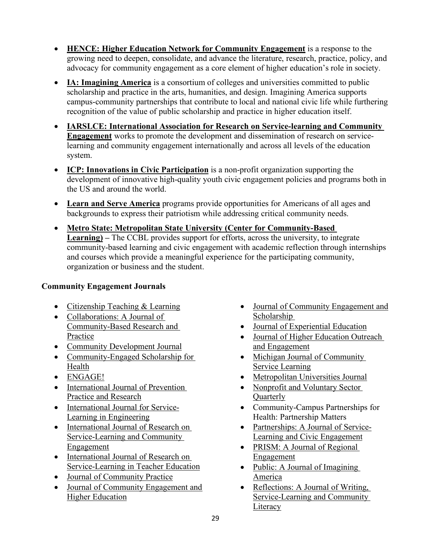- **HENCE: Higher Education Network for Community Engagement** is a response to the growing need to deepen, consolidate, and advance the literature, research, practice, policy, and advocacy for community engagement as a core element of higher education's role in society.
- **IA: Imagining America** is a consortium of colleges and universities committed to public scholarship and practice in the arts, humanities, and design. Imagining America supports campus-community partnerships that contribute to local and national civic life while furthering recognition of the value of public scholarship and practice in higher education itself.
- **IARSLCE: International Association for Research on Service-learning and Community Engagement** works to promote the development and dissemination of research on servicelearning and community engagement internationally and across all levels of the education system.
- **ICP: Innovations in Civic Participation** is a non-profit organization supporting the development of innovative high-quality youth civic engagement policies and programs both in the US and around the world.
- **Learn and Serve America** programs provide opportunities for Americans of all ages and backgrounds to express their patriotism while addressing critical community needs.
- **Metro State: Metropolitan State University (Center for Community-Based Learning) –** The CCBL provides support for efforts, across the university, to integrate community-based learning and civic engagement with academic reflection through internships and courses which provide a meaningful experience for the participating community, organization or business and the student.

## **Community Engagement Journals**

- Citizenship Teaching & Learning
- Collaborations: A Journal of Community-Based Research and Practice
- Community Development Journal
- Community-Engaged Scholarship for Health
- ENGAGE!
- International Journal of Prevention Practice and Research
- International Journal for Service-Learning in Engineering
- International Journal of Research on Service-Learning and Community Engagement
- International Journal of Research on Service-Learning in Teacher Education
- Journal of Community Practice
- Journal of Community Engagement and Higher Education
- Journal of Community Engagement and Scholarship
- Journal of Experiential Education
- Journal of Higher Education Outreach and Engagement
- Michigan Journal of Community Service Learning
- Metropolitan Universities Journal
- Nonprofit and Voluntary Sector **Ouarterly**
- Community-Campus Partnerships for Health: Partnership Matters
- Partnerships: A Journal of Service-Learning and Civic Engagement
- PRISM: A Journal of Regional Engagement
- Public: A Journal of Imagining America
- Reflections: A Journal of Writing, Service-Learning and Community **Literacy**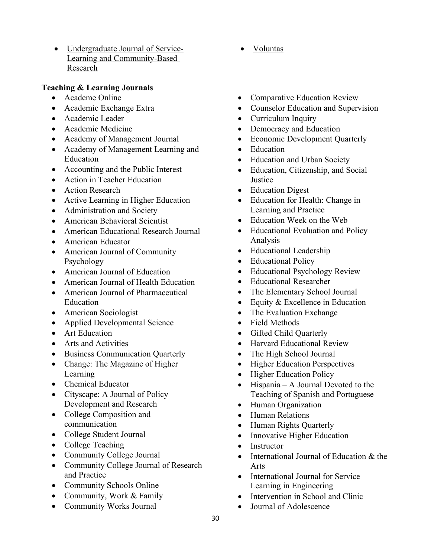• Undergraduate Journal of Service-Learning and Community-Based Research

## **Teaching & Learning Journals**

- Academe Online
- Academic Exchange Extra
- Academic Leader
- Academic Medicine
- Academy of Management Journal
- Academy of Management Learning and Education
- Accounting and the Public Interest
- Action in Teacher Education
- Action Research
- Active Learning in Higher Education
- Administration and Society
- American Behavioral Scientist
- American Educational Research Journal
- American Educator
- American Journal of Community Psychology
- American Journal of Education
- American Journal of Health Education
- American Journal of Pharmaceutical Education
- American Sociologist
- Applied Developmental Science
- Art Education
- Arts and Activities
- Business Communication Quarterly
- Change: The Magazine of Higher Learning
- Chemical Educator
- Cityscape: A Journal of Policy Development and Research
- College Composition and communication
- College Student Journal
- College Teaching
- Community College Journal
- Community College Journal of Research and Practice
- Community Schools Online
- Community, Work & Family
- Community Works Journal
- Voluntas
- Comparative Education Review
- Counselor Education and Supervision
- Curriculum Inquiry
- Democracy and Education
- Economic Development Quarterly
- Education
- Education and Urban Society
- Education, Citizenship, and Social **Justice**
- Education Digest
- Education for Health: Change in Learning and Practice
- Education Week on the Web
- Educational Evaluation and Policy Analysis
- Educational Leadership
- Educational Policy
- Educational Psychology Review
- Educational Researcher
- The Elementary School Journal
- Equity & Excellence in Education
- The Evaluation Exchange
- Field Methods
- Gifted Child Quarterly
- Harvard Educational Review
- The High School Journal
- Higher Education Perspectives
- Higher Education Policy
- Hispania A Journal Devoted to the Teaching of Spanish and Portuguese
- Human Organization
- Human Relations
- Human Rights Quarterly
- Innovative Higher Education
- Instructor
- International Journal of Education & the Arts
- International Journal for Service Learning in Engineering
- Intervention in School and Clinic
- Journal of Adolescence